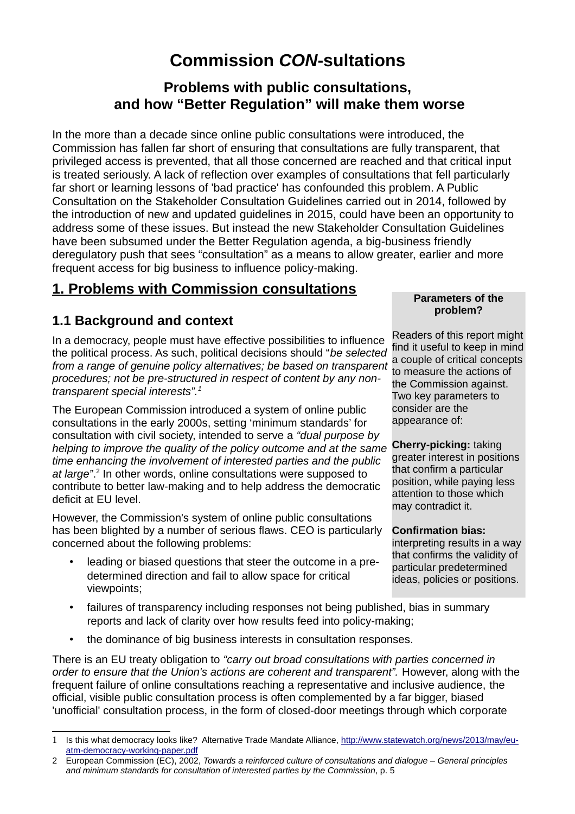# **Commission** *CON***-sultations**

### **Problems with public consultations, and how "Better Regulation" will make them worse**

In the more than a decade since online public consultations were introduced, the Commission has fallen far short of ensuring that consultations are fully transparent, that privileged access is prevented, that all those concerned are reached and that critical input is treated seriously. A lack of reflection over examples of consultations that fell particularly far short or learning lessons of 'bad practice' has confounded this problem. A Public Consultation on the Stakeholder Consultation Guidelines carried out in 2014, followed by the introduction of new and updated guidelines in 2015, could have been an opportunity to address some of these issues. But instead the new Stakeholder Consultation Guidelines have been subsumed under the Better Regulation agenda, a big-business friendly deregulatory push that sees "consultation" as a means to allow greater, earlier and more frequent access for big business to influence policy-making.

### **1. Problems with Commission consultations**

#### **1.1 Background and context**

In a democracy, people must have effective possibilities to influence the political process. As such, political decisions should "*be selected from a range of genuine policy alternatives; be based on transparent procedures; not be pre-structured in respect of content by any nontransparent special interests".[1](#page-0-0)*

The European Commission introduced a system of online public consultations in the early 2000s, setting 'minimum standards' for consultation with civil society, intended to serve a *"dual purpose by helping to improve the quality of the policy outcome and at the same time enhancing the involvement of interested parties and the public* at large".<sup>[2](#page-0-1)</sup> In other words, online consultations were supposed to contribute to better law-making and to help address the democratic deficit at EU level.

However, the Commission's system of online public consultations has been blighted by a number of serious flaws. CEO is particularly concerned about the following problems:

- leading or biased questions that steer the outcome in a predetermined direction and fail to allow space for critical viewpoints;
- failures of transparency including responses not being published, bias in summary reports and lack of clarity over how results feed into policy-making;
- the dominance of big business interests in consultation responses.

There is an EU treaty obligation to *"carry out broad consultations with parties concerned in order to ensure that the Union's actions are coherent and transparent".* However, along with the frequent failure of online consultations reaching a representative and inclusive audience, the official, visible public consultation process is often complemented by a far bigger, biased 'unofficial' consultation process, in the form of closed-door meetings through which corporate

#### **Parameters of the problem?**

Readers of this report might find it useful to keep in mind a couple of critical concepts to measure the actions of the Commission against. Two key parameters to consider are the appearance of:

**Cherry-picking:** taking greater interest in positions that confirm a particular position, while paying less attention to those which may contradict it.

#### **Confirmation bias:**

interpreting results in a way that confirms the validity of particular predetermined ideas, policies or positions.

<span id="page-0-0"></span><sup>1</sup> Is this what democracy looks like? Alternative Trade Mandate Alliance, [http://www.statewatch.org/news/2013/may/eu](http://www.statewatch.org/news/2013/may/eu-atm-democracy-working-paper.pdf)[atm-democracy-working-paper.pdf](http://www.statewatch.org/news/2013/may/eu-atm-democracy-working-paper.pdf)

<span id="page-0-1"></span><sup>2</sup> European Commission (EC), 2002, *Towards a reinforced culture of consultations and dialogue – General principles and minimum standards for consultation of interested parties by the Commission*, p. 5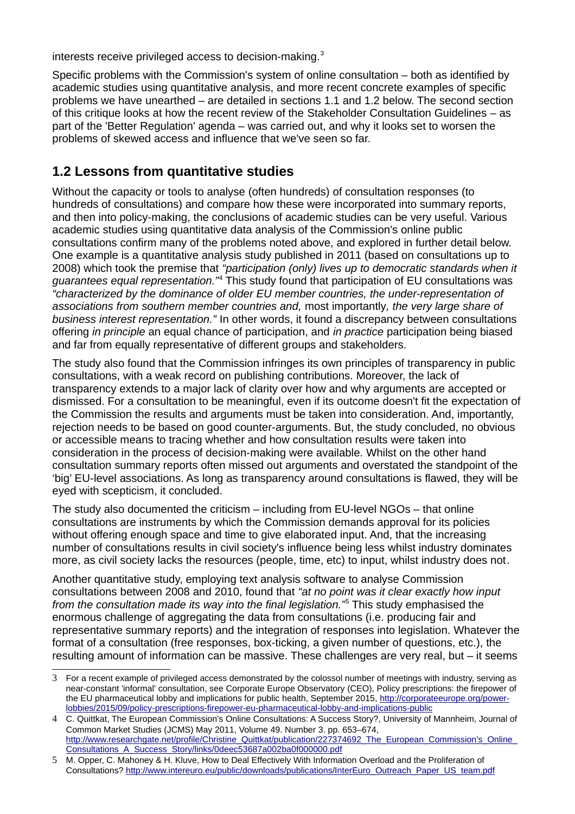interests receive privileged access to decision-making.<sup>[3](#page-1-0)</sup>

Specific problems with the Commission's system of online consultation – both as identified by academic studies using quantitative analysis, and more recent concrete examples of specific problems we have unearthed – are detailed in sections 1.1 and 1.2 below. The second section of this critique looks at how the recent review of the Stakeholder Consultation Guidelines – as part of the 'Better Regulation' agenda – was carried out, and why it looks set to worsen the problems of skewed access and influence that we've seen so far.

#### **1.2 Lessons from quantitative studies**

Without the capacity or tools to analyse (often hundreds) of consultation responses (to hundreds of consultations) and compare how these were incorporated into summary reports, and then into policy-making, the conclusions of academic studies can be very useful. Various academic studies using quantitative data analysis of the Commission's online public consultations confirm many of the problems noted above, and explored in further detail below. One example is a quantitative analysis study published in 2011 (based on consultations up to 2008) which took the premise that *"participation (only) lives up to democratic standards when it guarantees equal representation."*[4](#page-1-1) This study found that participation of EU consultations was *"characterized by the dominance of older EU member countries, the under-representation of associations from southern member countries and,* most importantly*, the very large share of business interest representation."* In other words, it found a discrepancy between consultations offering *in principle* an equal chance of participation, and *in practice* participation being biased and far from equally representative of different groups and stakeholders.

The study also found that the Commission infringes its own principles of transparency in public consultations, with a weak record on publishing contributions. Moreover, the lack of transparency extends to a major lack of clarity over how and why arguments are accepted or dismissed. For a consultation to be meaningful, even if its outcome doesn't fit the expectation of the Commission the results and arguments must be taken into consideration. And, importantly, rejection needs to be based on good counter-arguments. But, the study concluded, no obvious or accessible means to tracing whether and how consultation results were taken into consideration in the process of decision-making were available. Whilst on the other hand consultation summary reports often missed out arguments and overstated the standpoint of the 'big' EU-level associations. As long as transparency around consultations is flawed, they will be eyed with scepticism, it concluded.

The study also documented the criticism – including from EU-level NGOs – that online consultations are instruments by which the Commission demands approval for its policies without offering enough space and time to give elaborated input. And, that the increasing number of consultations results in civil society's influence being less whilst industry dominates more, as civil society lacks the resources (people, time, etc) to input, whilst industry does not.

Another quantitative study, employing text analysis software to analyse Commission consultations between 2008 and 2010, found that *"at no point was it clear exactly how input from the consultation made its way into the final legislation."*[5](#page-1-2) This study emphasised the enormous challenge of aggregating the data from consultations (i.e. producing fair and representative summary reports) and the integration of responses into legislation. Whatever the format of a consultation (free responses, box-ticking, a given number of questions, etc.), the resulting amount of information can be massive. These challenges are very real, but – it seems

<span id="page-1-0"></span><sup>3</sup> For a recent example of privileged access demonstrated by the colossol number of meetings with industry, serving as near-constant 'informal' consultation, see Corporate Europe Observatory (CEO), Policy prescriptions: the firepower of the EU pharmaceutical lobby and implications for public health, September 2015, [http://corporateeurope.org/power](http://corporateeurope.org/power-lobbies/2015/09/policy-prescriptions-firepower-eu-pharmaceutical-lobby-and-implications-public)[lobbies/2015/09/policy-prescriptions-firepower-eu-pharmaceutical-lobby-and-implications-public](http://corporateeurope.org/power-lobbies/2015/09/policy-prescriptions-firepower-eu-pharmaceutical-lobby-and-implications-public)

<span id="page-1-1"></span><sup>4</sup> C. Quittkat, The European Commission's Online Consultations: A Success Story?, University of Mannheim, Journal of Common Market Studies (JCMS) May 2011, Volume 49. Number 3. pp. 653–674, http://www.researchgate.net/profile/Christine\_Quittkat/publication/227374692\_The\_European\_Commission's\_Online [Consultations\\_A\\_Success\\_Story/links/0deec53687a002ba0f000000.pdf](http://www.researchgate.net/profile/Christine_Quittkat/publication/227374692_The_European_Commission)

<span id="page-1-2"></span><sup>5</sup> M. Opper, C. Mahoney & H. Kluve, How to Deal Effectively With Information Overload and the Proliferation of Consultations? [http://www.intereuro.eu/public/downloads/publications/InterEuro\\_Outreach\\_Paper\\_US\\_team.pdf](http://www.intereuro.eu/public/downloads/publications/InterEuro_Outreach_Paper_US_team.pdf)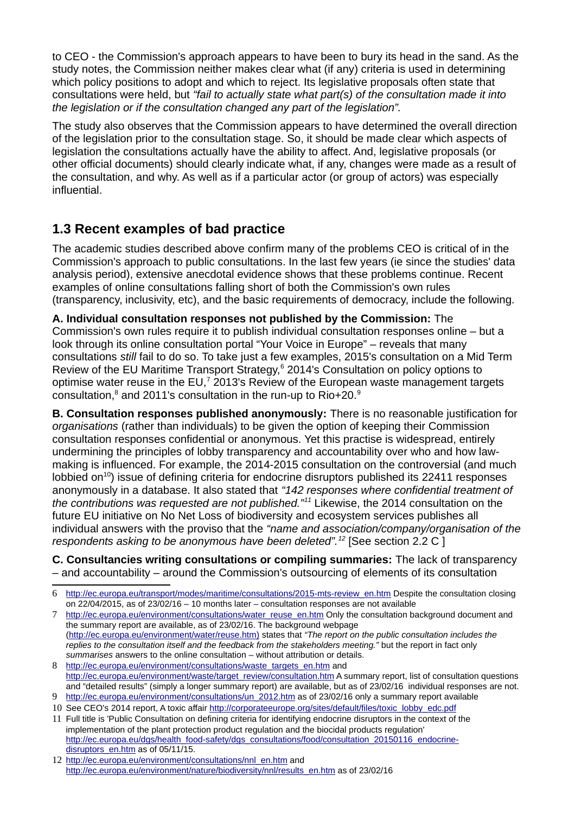to CEO - the Commission's approach appears to have been to bury its head in the sand. As the study notes, the Commission neither makes clear what (if any) criteria is used in determining which policy positions to adopt and which to reject. Its legislative proposals often state that consultations were held, but *"fail to actually state what part(s) of the consultation made it into the legislation or if the consultation changed any part of the legislation".*

The study also observes that the Commission appears to have determined the overall direction of the legislation prior to the consultation stage. So, it should be made clear which aspects of legislation the consultations actually have the ability to affect. And, legislative proposals (or other official documents) should clearly indicate what, if any, changes were made as a result of the consultation, and why. As well as if a particular actor (or group of actors) was especially influential.

### **1.3 Recent examples of bad practice**

The academic studies described above confirm many of the problems CEO is critical of in the Commission's approach to public consultations. In the last few years (ie since the studies' data analysis period), extensive anecdotal evidence shows that these problems continue. Recent examples of online consultations falling short of both the Commission's own rules (transparency, inclusivity, etc), and the basic requirements of democracy, include the following.

**A. Individual consultation responses not published by the Commission:** The Commission's own rules require it to publish individual consultation responses online – but a look through its online consultation portal "Your Voice in Europe" – reveals that many consultations *still* fail to do so. To take just a few examples, 2015's consultation on a Mid Term Review of the EU Maritime Transport Strategy,<sup>[6](#page-2-0)</sup> 2014's Consultation on policy options to optimise water reuse in the EU,<sup>[7](#page-2-1)</sup> 2013's Review of the European waste management targets consultation, $^8$  $^8$  and 2011's consultation in the run-up to Rio+20. $^9$  $^9$ 

**B. Consultation responses published anonymously:** There is no reasonable justification for *organisations* (rather than individuals) to be given the option of keeping their Commission consultation responses confidential or anonymous. Yet this practise is widespread, entirely undermining the principles of lobby transparency and accountability over who and how lawmaking is influenced. For example, the 2014-2015 consultation on the controversial (and much lobbied on<sup>[10](#page-2-4)</sup>) issue of defining criteria for endocrine disruptors published its 22411 responses anonymously in a database. It also stated that *"142 responses where confidential treatment of the contributions was requested are not published."[11](#page-2-5)* Likewise, the 2014 consultation on the future EU initiative on No Net Loss of biodiversity and ecosystem services publishes all individual answers with the proviso that the *"name and association/company/organisation of the respondents asking to be anonymous have been deleted".[12](#page-2-6)* [See section 2.2 C ]

**C. Consultancies writing consultations or compiling summaries:** The lack of transparency – and accountability – around the Commission's outsourcing of elements of its consultation

<span id="page-2-0"></span><sup>6</sup> [http://ec.europa.eu/transport/modes/maritime/consultations/2015-mts-review\\_en.htm](http://ec.europa.eu/transport/modes/maritime/consultations/2015-mts-review_en.htm) Despite the consultation closing on 22/04/2015, as of 23/02/16 – 10 months later – consultation responses are not available

<span id="page-2-1"></span>[http://ec.europa.eu/environment/consultations/water\\_reuse\\_en.htm](http://ec.europa.eu/environment/consultations/water_reuse_en.htm) Only the consultation background document and the summary report are available, as of 23/02/16. The background webpage [\( http://ec.europa.eu/environment/water/reuse.htm\)](http://ec.europa.eu/environment/water/reuse.htm) states that *"The report on the public consultation includes the replies to the consultation itself and the feedback from the stakeholders meeting."* but the report in fact only *summarises* answers to the online consultation – without attribution or details.

<span id="page-2-2"></span><sup>8</sup> [http://ec.europa.eu/environment/consultations/waste\\_targets\\_en.htm](http://ec.europa.eu/environment/consultations/waste_targets_en.htm) and [http://ec.europa.eu/environment/waste/target\\_review/consultation.htm](http://ec.europa.eu/environment/waste/target_review/consultation.htm) A summary report, list of consultation questions and "detailed results" (simply a longer summary report) are available, but as of 23/02/16 individual responses are not.

<span id="page-2-3"></span><sup>9</sup> [http://ec.europa.eu/environment/consultations/un\\_2012.htm](http://ec.europa.eu/environment/consultations/un_2012.htm) as of 23/02/16 only a summary report available

<span id="page-2-4"></span><sup>10</sup> See CEO's 2014 report, A toxic affair [http://corporateeurope.org/sites/default/files/toxic\\_lobby\\_edc.pdf](http://corporateeurope.org/sites/default/files/toxic_lobby_edc.pdf)

<span id="page-2-5"></span><sup>11</sup> Full title is 'Public Consultation on defining criteria for identifying endocrine disruptors in the context of the implementation of the plant protection product regulation and the biocidal products regulation' [http://ec.europa.eu/dgs/health\\_food-safety/dgs\\_consultations/food/consultation\\_20150116\\_endocrine](http://ec.europa.eu/dgs/health_food-safety/dgs_consultations/food/consultation_20150116_endocrine-disruptors_en.htm)disruptors en.htm as of 05/11/15.

<span id="page-2-6"></span><sup>12</sup> [http://ec.europa.eu/environment/consultations/nnl\\_en.htm](http://ec.europa.eu/environment/consultations/nnl_en.htm) and [http://ec.europa.eu/environment/nature/biodiversity/nnl/results\\_en.htm](http://ec.europa.eu/environment/nature/biodiversity/nnl/results_en.htm) as of 23/02/16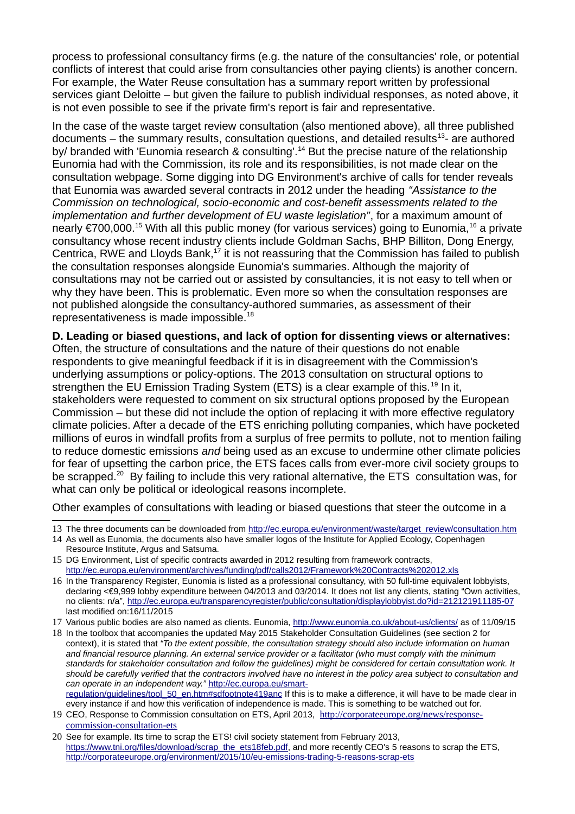process to professional consultancy firms (e.g. the nature of the consultancies' role, or potential conflicts of interest that could arise from consultancies other paying clients) is another concern. For example, the Water Reuse consultation has a summary report written by professional services giant Deloitte – but given the failure to publish individual responses, as noted above, it is not even possible to see if the private firm's report is fair and representative.

In the case of the waste target review consultation (also mentioned above), all three published documents – the summary results, consultation questions, and detailed results<sup>[13](#page-3-0)</sup>- are authored by/ branded with 'Eunomia research & consulting'.<sup>[14](#page-3-1)</sup> But the precise nature of the relationship Eunomia had with the Commission, its role and its responsibilities, is not made clear on the consultation webpage. Some digging into DG Environment's archive of calls for tender reveals that Eunomia was awarded several contracts in 2012 under the heading *"Assistance to the Commission on technological, socio-economic and cost-benefit assessments related to the implementation and further development of EU waste legislation"*, for a maximum amount of nearly €700,000.<sup>[15](#page-3-2)</sup> With all this public money (for various services) going to Eunomia, <sup>[16](#page-3-3)</sup> a private consultancy whose recent industry clients include Goldman Sachs, BHP Billiton, Dong Energy, Centrica, RWE and Lloyds Bank, $17$  it is not reassuring that the Commission has failed to publish the consultation responses alongside Eunomia's summaries. Although the majority of consultations may not be carried out or assisted by consultancies, it is not easy to tell when or why they have been. This is problematic. Even more so when the consultation responses are not published alongside the consultancy-authored summaries, as assessment of their representativeness is made impossible.[18](#page-3-5)

**D. Leading or biased questions, and lack of option for dissenting views or alternatives:** 

Often, the structure of consultations and the nature of their questions do not enable respondents to give meaningful feedback if it is in disagreement with the Commission's underlying assumptions or policy-options. The 2013 consultation on structural options to strengthen the EU Emission Trading System (ETS) is a clear example of this.<sup>[19](#page-3-6)</sup> In it, stakeholders were requested to comment on six structural options proposed by the European Commission – but these did not include the option of replacing it with more effective regulatory climate policies. After a decade of the ETS enriching polluting companies, which have pocketed millions of euros in windfall profits from a surplus of free permits to pollute, not to mention failing to reduce domestic emissions *and* being used as an excuse to undermine other climate policies for fear of upsetting the carbon price, the ETS faces calls from ever-more civil society groups to be scrapped.<sup>[20](#page-3-7)</sup> By failing to include this very rational alternative, the ETS consultation was, for what can only be political or ideological reasons incomplete.

Other examples of consultations with leading or biased questions that steer the outcome in a

<span id="page-3-0"></span>13 The three documents can be downloaded from [http://ec.europa.eu/environment/waste/target\\_review/consultation.htm](http://ec.europa.eu/environment/waste/target_review/consultation.htm)

<span id="page-3-4"></span>17 Various public bodies are also named as clients. Eunomia,<http://www.eunomia.co.uk/about-us/clients/>as of 11/09/15

<span id="page-3-5"></span>18 In the toolbox that accompanies the updated May 2015 Stakeholder Consultation Guidelines (see section 2 for context), it is stated that *"To the extent possible, the consultation strategy should also include information on human and financial resource planning. An external service provider or a facilitator (who must comply with the minimum standards for stakeholder consultation and follow the guidelines) might be considered for certain consultation work. It should be carefully verified that the contractors involved have no interest in the policy area subject to consultation and can operate in an independent way."* [http://ec.europa.eu/smart](http://ec.europa.eu/smart-regulation/guidelines/tool_50_en.htm#sdfootnote419anc)[regulation/guidelines/tool\\_50\\_en.htm#sdfootnote419anc](http://ec.europa.eu/smart-regulation/guidelines/tool_50_en.htm#sdfootnote419anc) If this is to make a difference, it will have to be made clear in every instance if and how this verification of independence is made. This is something to be watched out for.

<span id="page-3-6"></span>19 CEO, Response to Commission consultation on ETS, April 2013, [http://corporateeurope.org/news/response](http://corporateeurope.org/news/response-commission-consultation-ets)[commission-consultation-ets](http://corporateeurope.org/news/response-commission-consultation-ets)

<span id="page-3-1"></span><sup>14</sup> As well as Eunomia, the documents also have smaller logos of the Institute for Applied Ecology, Copenhagen Resource Institute, Argus and Satsuma.

<span id="page-3-2"></span><sup>15</sup> DG Environment, List of specific contracts awarded in 2012 resulting from framework contracts, <http://ec.europa.eu/environment/archives/funding/pdf/calls2012/Framework%20Contracts%202012.xls>

<span id="page-3-3"></span><sup>16</sup> In the Transparency Register, Eunomia is listed as a professional consultancy, with 50 full-time equivalent lobbyists, declaring <€9,999 lobby expenditure between 04/2013 and 03/2014. It does not list any clients, stating "Own activities, no clients: n/a",<http://ec.europa.eu/transparencyregister/public/consultation/displaylobbyist.do?id=212121911185-07> last modified on:16/11/2015

<span id="page-3-7"></span><sup>20</sup> See for example. Its time to scrap the ETS! civil society statement from February 2013, [https://www.tni.org/files/download/scrap\\_the\\_ets18feb.pdf,](https://www.tni.org/files/download/scrap_the_ets18feb.pdf) and more recently CEO's 5 reasons to scrap the ETS, <http://corporateeurope.org/environment/2015/10/eu-emissions-trading-5-reasons-scrap-ets>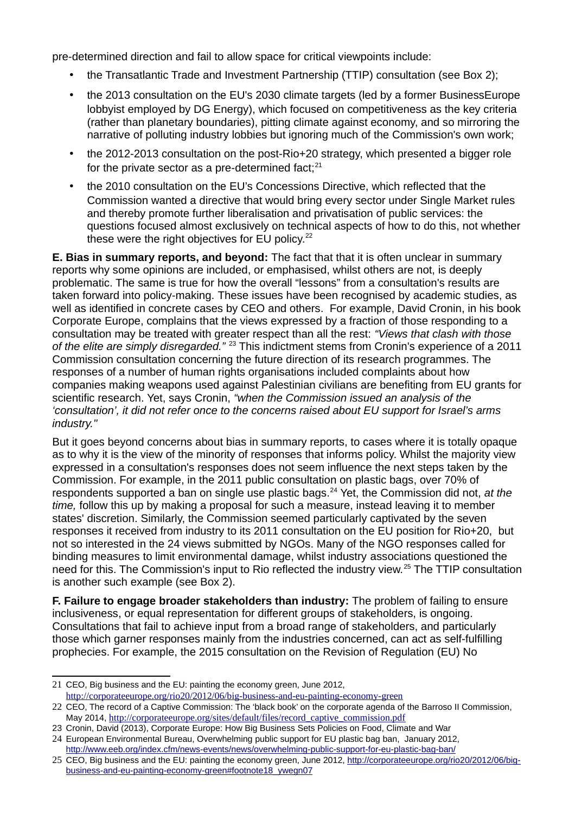pre-determined direction and fail to allow space for critical viewpoints include:

- the Transatlantic Trade and Investment Partnership (TTIP) consultation (see Box 2);
- the 2013 consultation on the EU's 2030 climate targets (led by a former BusinessEurope lobbyist employed by DG Energy), which focused on competitiveness as the key criteria (rather than planetary boundaries), pitting climate against economy, and so mirroring the narrative of polluting industry lobbies but ignoring much of the Commission's own work;
- the 2012-2013 consultation on the post-Rio+20 strategy, which presented a bigger role for the private sector as a pre-determined fact: $21$
- the 2010 consultation on the EU's Concessions Directive, which reflected that the Commission wanted a directive that would bring every sector under Single Market rules and thereby promote further liberalisation and privatisation of public services: the questions focused almost exclusively on technical aspects of how to do this, not whether these were the right objectives for EU policy.<sup>[22](#page-4-1)</sup>

**E. Bias in summary reports, and beyond:** The fact that that it is often unclear in summary reports why some opinions are included, or emphasised, whilst others are not, is deeply problematic. The same is true for how the overall "lessons" from a consultation's results are taken forward into policy-making. These issues have been recognised by academic studies, as well as identified in concrete cases by CEO and others. For example, David Cronin, in his book Corporate Europe, complains that the views expressed by a fraction of those responding to a consultation may be treated with greater respect than all the rest: *"Views that clash with those of the elite are simply disregarded."* [23](#page-4-2) This indictment stems from Cronin's experience of a 2011 Commission consultation concerning the future direction of its research programmes. The responses of a number of human rights organisations included complaints about how companies making weapons used against Palestinian civilians are benefiting from EU grants for scientific research. Yet, says Cronin, *"when the Commission issued an analysis of the 'consultation', it did not refer once to the concerns raised about EU support for Israel's arms industry."* 

But it goes beyond concerns about bias in summary reports, to cases where it is totally opaque as to why it is the view of the minority of responses that informs policy. Whilst the majority view expressed in a consultation's responses does not seem influence the next steps taken by the Commission. For example, in the 2011 public consultation on plastic bags, over 70% of respondents supported a ban on single use plastic bags.[24](#page-4-3) Yet, the Commission did not, *at the time,* follow this up by making a proposal for such a measure, instead leaving it to member states' discretion. Similarly, the Commission seemed particularly captivated by the seven responses it received from industry to its 2011 consultation on the EU position for Rio+20, but not so interested in the 24 views submitted by NGOs. Many of the NGO responses called for binding measures to limit environmental damage, whilst industry associations questioned the need for this. The Commission's input to Rio reflected the industry view.<sup>[25](#page-4-4)</sup> The TTIP consultation is another such example (see Box 2).

**F. Failure to engage broader stakeholders than industry:** The problem of failing to ensure inclusiveness, or equal representation for different groups of stakeholders, is ongoing. Consultations that fail to achieve input from a broad range of stakeholders, and particularly those which garner responses mainly from the industries concerned, can act as self-fulfilling prophecies. For example, the 2015 consultation on the Revision of Regulation (EU) No

<span id="page-4-0"></span><sup>21</sup> CEO, Big business and the EU: painting the economy green, June 2012, <http://corporateeurope.org/rio20/2012/06/big-business-and-eu-painting-economy-green>

<span id="page-4-1"></span><sup>22</sup> CEO, The record of a Captive Commission: The 'black book' on the corporate agenda of the Barroso II Commission, May 2014, [http://corporateeurope.org/sites/default/files/record\\_captive\\_commission.pdf](http://corporateeurope.org/sites/default/files/record_captive_commission.pdf)

<span id="page-4-2"></span><sup>23</sup> Cronin, David (2013), Corporate Europe: How Big Business Sets Policies on Food, Climate and War

<span id="page-4-3"></span><sup>24</sup> European Environmental Bureau, Overwhelming public support for EU plastic bag ban, January 2012, <http://www.eeb.org/index.cfm/news-events/news/overwhelming-public-support-for-eu-plastic-bag-ban/>

<span id="page-4-4"></span><sup>25</sup> CEO, Big business and the EU: painting the economy green, June 2012, [http://corporateeurope.org/rio20/2012/06/big](http://corporateeurope.org/rio20/2012/06/big-business-and-eu-painting-economy-green#footnote18_ywegn07)[business-and-eu-painting-economy-green#footnote18\\_ywegn07](http://corporateeurope.org/rio20/2012/06/big-business-and-eu-painting-economy-green#footnote18_ywegn07)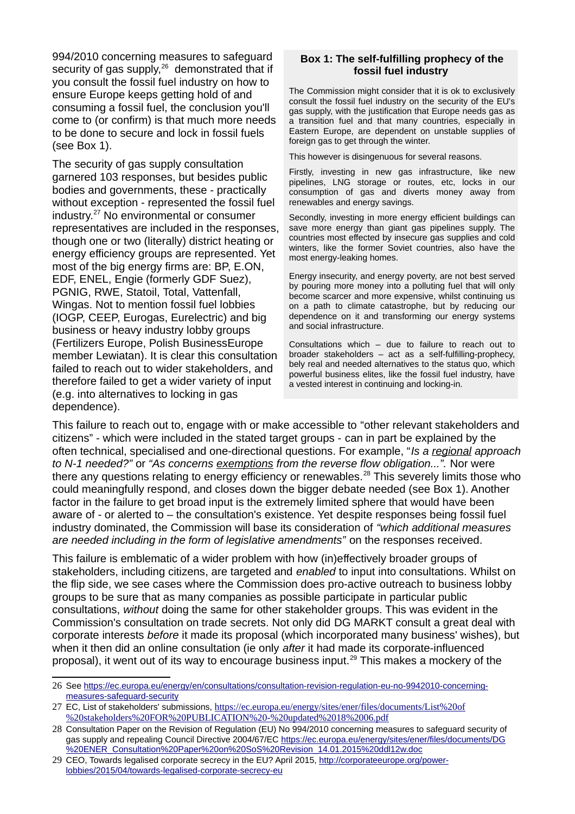994/2010 concerning measures to safeguard security of gas supply, $26$  demonstrated that if you consult the fossil fuel industry on how to ensure Europe keeps getting hold of and consuming a fossil fuel, the conclusion you'll come to (or confirm) is that much more needs to be done to secure and lock in fossil fuels (see Box 1).

The security of gas supply consultation garnered 103 responses, but besides public bodies and governments, these - practically without exception - represented the fossil fuel industry.[27](#page-5-1) No environmental or consumer representatives are included in the responses, though one or two (literally) district heating or energy efficiency groups are represented. Yet most of the big energy firms are: BP, E.ON, EDF, ENEL, Engie (formerly GDF Suez), PGNIG, RWE, Statoil, Total, Vattenfall, Wingas. Not to mention fossil fuel lobbies (IOGP, CEEP, Eurogas, Eurelectric) and big business or heavy industry lobby groups (Fertilizers Europe, Polish BusinessEurope member Lewiatan). It is clear this consultation failed to reach out to wider stakeholders, and therefore failed to get a wider variety of input (e.g. into alternatives to locking in gas dependence).

#### **Box 1: The self-fulfilling prophecy of the fossil fuel industry**

The Commission might consider that it is ok to exclusively consult the fossil fuel industry on the security of the EU's gas supply, with the justification that Europe needs gas as a transition fuel and that many countries, especially in Eastern Europe, are dependent on unstable supplies of foreign gas to get through the winter.

This however is disingenuous for several reasons.

Firstly, investing in new gas infrastructure, like new pipelines, LNG storage or routes, etc, locks in our consumption of gas and diverts money away from renewables and energy savings.

Secondly, investing in more energy efficient buildings can save more energy than giant gas pipelines supply. The countries most effected by insecure gas supplies and cold winters, like the former Soviet countries, also have the most energy-leaking homes.

Energy insecurity, and energy poverty, are not best served by pouring more money into a polluting fuel that will only become scarcer and more expensive, whilst continuing us on a path to climate catastrophe, but by reducing our dependence on it and transforming our energy systems and social infrastructure.

Consultations which – due to failure to reach out to broader stakeholders – act as a self-fulfilling-prophecy, bely real and needed alternatives to the status quo, which powerful business elites, like the fossil fuel industry, have a vested interest in continuing and locking-in.

This failure to reach out to, engage with or make accessible to "other relevant stakeholders and citizens" - which were included in the stated target groups - can in part be explained by the often technical, specialised and one-directional questions. For example, "*Is a regional approach to N-1 needed?"* or *"As concerns exemptions from the reverse flow obligation...".* Nor were there any questions relating to energy efficiency or renewables.<sup>[28](#page-5-2)</sup> This severely limits those who could meaningfully respond, and closes down the bigger debate needed (see Box 1). Another factor in the failure to get broad input is the extremely limited sphere that would have been aware of - or alerted to – the consultation's existence. Yet despite responses being fossil fuel industry dominated, the Commission will base its consideration of *"which additional measures are needed including in the form of legislative amendments"* on the responses received.

This failure is emblematic of a wider problem with how (in)effectively broader groups of stakeholders, including citizens, are targeted and *enabled* to input into consultations. Whilst on the flip side, we see cases where the Commission does pro-active outreach to business lobby groups to be sure that as many companies as possible participate in particular public consultations, *without* doing the same for other stakeholder groups. This was evident in the Commission's consultation on trade secrets. Not only did DG MARKT consult a great deal with corporate interests *before* it made its proposal (which incorporated many business' wishes), but when it then did an online consultation (ie only *after* it had made its corporate-influenced proposal), it went out of its way to encourage business input.<sup>[29](#page-5-3)</sup> This makes a mockery of the

<span id="page-5-0"></span><sup>26</sup> See [https://ec.europa.eu/energy/en/consultations/consultation-revision-regulation-eu-no-9942010-concerning](https://ec.europa.eu/energy/en/consultations/consultation-revision-regulation-eu-no-9942010-concerning-measures-safeguard-security)[measures-safeguard-security](https://ec.europa.eu/energy/en/consultations/consultation-revision-regulation-eu-no-9942010-concerning-measures-safeguard-security)

<span id="page-5-1"></span><sup>27</sup> EC, List of stakeholders' submissions, [https://ec.europa.eu/energy/sites/ener/files/documents/List%20of](https://ec.europa.eu/energy/sites/ener/files/documents/List%20of%20stakeholders%20FOR%20PUBLICATION%20-%20updated%2018%2006.pdf) [%20stakeholders%20FOR%20PUBLICATION%20-%20updated%2018%2006.pdf](https://ec.europa.eu/energy/sites/ener/files/documents/List%20of%20stakeholders%20FOR%20PUBLICATION%20-%20updated%2018%2006.pdf)

<span id="page-5-2"></span><sup>28</sup> Consultation Paper on the Revision of Regulation (EU) No 994/2010 concerning measures to safeguard security of gas supply and repealing Council Directive 2004/67/EC [https://ec.europa.eu/energy/sites/ener/files/documents/DG](https://ec.europa.eu/energy/sites/ener/files/documents/DG%20ENER_Consultation%20Paper%20on%20SoS%20Revision_14.01.2015%20ddl12w.doc) [%20ENER\\_Consultation%20Paper%20on%20SoS%20Revision\\_14.01.2015%20ddl12w.doc](https://ec.europa.eu/energy/sites/ener/files/documents/DG%20ENER_Consultation%20Paper%20on%20SoS%20Revision_14.01.2015%20ddl12w.doc)

<span id="page-5-3"></span><sup>29</sup> CEO, Towards legalised corporate secrecy in the EU? April 2015, [http://corporateeurope.org/power](http://corporateeurope.org/power-lobbies/2015/04/towards-legalised-corporate-secrecy-eu)[lobbies/2015/04/towards-legalised-corporate-secrecy-eu](http://corporateeurope.org/power-lobbies/2015/04/towards-legalised-corporate-secrecy-eu)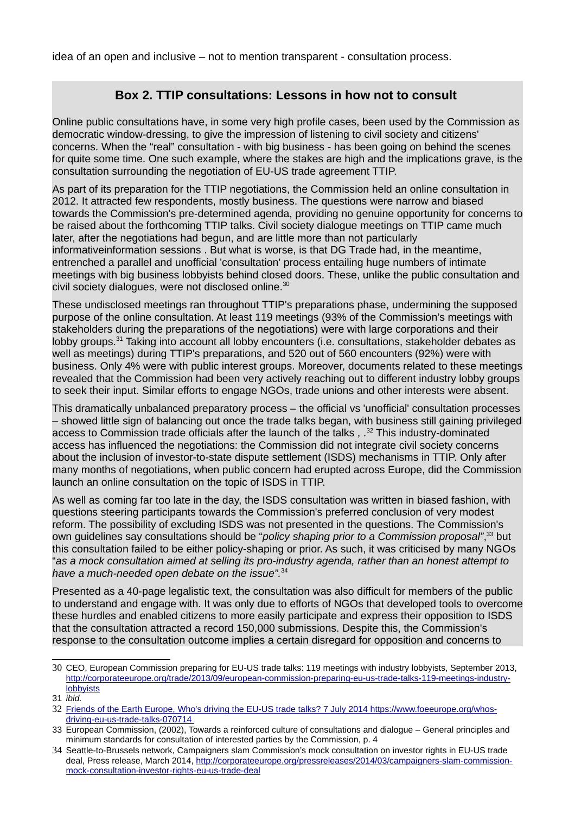idea of an open and inclusive – not to mention transparent - consultation process.

#### **Box 2. TTIP consultations: Lessons in how not to consult**

Online public consultations have, in some very high profile cases, been used by the Commission as democratic window-dressing, to give the impression of listening to civil society and citizens' concerns. When the "real" consultation - with big business - has been going on behind the scenes for quite some time. One such example, where the stakes are high and the implications grave, is the consultation surrounding the negotiation of EU-US trade agreement TTIP.

As part of its preparation for the TTIP negotiations, the Commission held an online consultation in 2012. It attracted few respondents, mostly business. The questions were narrow and biased towards the Commission's pre-determined agenda, providing no genuine opportunity for concerns to be raised about the forthcoming TTIP talks. Civil society dialogue meetings on TTIP came much later, after the negotiations had begun, and are little more than not particularly informativeinformation sessions . But what is worse, is that DG Trade had, in the meantime, entrenched a parallel and unofficial 'consultation' process entailing huge numbers of intimate meetings with big business lobbyists behind closed doors. These, unlike the public consultation and civil society dialogues, were not disclosed online.<sup>[30](#page-6-0)</sup>

These undisclosed meetings ran throughout TTIP's preparations phase, undermining the supposed purpose of the online consultation. At least 119 meetings (93% of the Commission's meetings with stakeholders during the preparations of the negotiations) were with large corporations and their lobby groups.[31](#page-6-1) Taking into account all lobby encounters (i.e. consultations, stakeholder debates as well as meetings) during TTIP's preparations, and 520 out of 560 encounters (92%) were with business. Only 4% were with public interest groups. Moreover, documents related to these meetings revealed that the Commission had been very actively reaching out to different industry lobby groups to seek their input. Similar efforts to engage NGOs, trade unions and other interests were absent.

This dramatically unbalanced preparatory process – the official vs 'unofficial' consultation processes – showed little sign of balancing out once the trade talks began, with business still gaining privileged access to Commission trade officials after the launch of the talks, .<sup>[32](#page-6-2)</sup> This industry-dominated access has influenced the negotiations: the Commission did not integrate civil society concerns about the inclusion of investor-to-state dispute settlement (ISDS) mechanisms in TTIP. Only after many months of negotiations, when public concern had erupted across Europe, did the Commission launch an online consultation on the topic of ISDS in TTIP.

As well as coming far too late in the day, the ISDS consultation was written in biased fashion, with questions steering participants towards the Commission's preferred conclusion of very modest reform. The possibility of excluding ISDS was not presented in the questions. The Commission's own guidelines say consultations should be "*policy shaping prior to a Commission proposal"*, [33](#page-6-3) but this consultation failed to be either policy-shaping or prior. As such, it was criticised by many NGOs "*as a mock consultation aimed at selling its pro-industry agenda, rather than an honest attempt to have a much-needed open debate on the issue".*[34](#page-6-4)

Presented as a 40-page legalistic text, the consultation was also difficult for members of the public to understand and engage with. It was only due to efforts of NGOs that developed tools to overcome these hurdles and enabled citizens to more easily participate and express their opposition to ISDS that the consultation attracted a record 150,000 submissions. Despite this, the Commission's response to the consultation outcome implies a certain disregard for opposition and concerns to

<span id="page-6-0"></span><sup>30</sup> CEO, European Commission preparing for EU-US trade talks: 119 meetings with industry lobbyists, September 2013, [http://corporateeurope.org/trade/2013/09/european-commission-preparing-eu-us-trade-talks-119-meetings-industry](http://corporateeurope.org/trade/2013/09/european-commission-preparing-eu-us-trade-talks-119-meetings-industry-lobbyists)[lobbyists](http://corporateeurope.org/trade/2013/09/european-commission-preparing-eu-us-trade-talks-119-meetings-industry-lobbyists)

<span id="page-6-1"></span><sup>31</sup> *ibid.*

<span id="page-6-2"></span><sup>32</sup> Friends of the Earth Europe, Who's driving the EU-US trade talks? 7 July 2014 [https://www.foeeurope.org/whos](https://www.foeeurope.org/whos-driving-eu-us-trade-talks-070714)[driving-eu-us-trade-talks-070714](https://www.foeeurope.org/whos-driving-eu-us-trade-talks-070714)

<span id="page-6-3"></span><sup>33</sup> European Commission, (2002), Towards a reinforced culture of consultations and dialogue – General principles and minimum standards for consultation of interested parties by the Commission, p. 4

<span id="page-6-4"></span><sup>34</sup> Seattle-to-Brussels network, Campaigners slam Commission's mock consultation on investor rights in EU-US trade deal, Press release, March 2014, [http://corporateeurope.org/pressreleases/2014/03/campaigners-slam-commission](http://corporateeurope.org/pressreleases/2014/03/campaigners-slam-commission-mock-consultation-investor-rights-eu-us-trade-deal)[mock-consultation-investor-rights-eu-us-trade-deal](http://corporateeurope.org/pressreleases/2014/03/campaigners-slam-commission-mock-consultation-investor-rights-eu-us-trade-deal)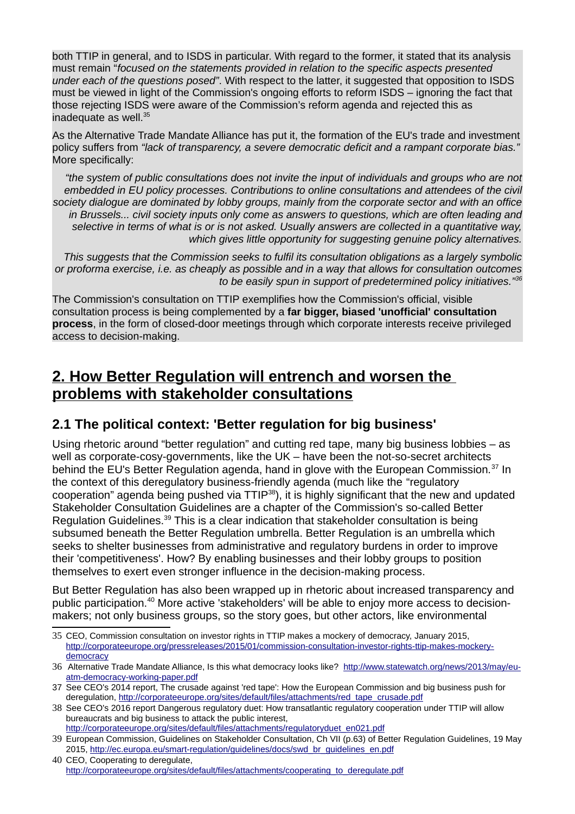both TTIP in general, and to ISDS in particular. With regard to the former, it stated that its analysis must remain "*focused on the statements provided in relation to the specific aspects presented under each of the questions posed"*. With respect to the latter, it suggested that opposition to ISDS must be viewed in light of the Commission's ongoing efforts to reform ISDS – ignoring the fact that those rejecting ISDS were aware of the Commission's reform agenda and rejected this as inadequate as well. $35$ 

As the Alternative Trade Mandate Alliance has put it, the formation of the EU's trade and investment policy suffers from *"lack of transparency, a severe democratic deficit and a rampant corporate bias."* More specifically:

*"the system of public consultations does not invite the input of individuals and groups who are not embedded in EU policy processes. Contributions to online consultations and attendees of the civil society dialogue are dominated by lobby groups, mainly from the corporate sector and with an office in Brussels... civil society inputs only come as answers to questions, which are often leading and selective in terms of what is or is not asked. Usually answers are collected in a quantitative way, which gives little opportunity for suggesting genuine policy alternatives.*

*This suggests that the Commission seeks to fulfil its consultation obligations as a largely symbolic or proforma exercise, i.e. as cheaply as possible and in a way that allows for consultation outcomes to be easily spun in support of predetermined policy initiatives."[36](#page-7-1)*

The Commission's consultation on TTIP exemplifies how the Commission's official, visible consultation process is being complemented by a **far bigger, biased 'unofficial' consultation process**, in the form of closed-door meetings through which corporate interests receive privileged access to decision-making.

## **2. How Better Regulation will entrench and worsen the problems with stakeholder consultations**

#### **2.1 The political context: 'Better regulation for big business'**

Using rhetoric around "better regulation" and cutting red tape, many big business lobbies – as well as corporate-cosy-governments, like the UK – have been the not-so-secret architects behind the EU's Better Regulation agenda, hand in glove with the European Commission.<sup>[37](#page-7-2)</sup> In the context of this deregulatory business-friendly agenda (much like the "regulatory cooperation" agenda being pushed via TTIP<sup>[38](#page-7-3)</sup>), it is highly significant that the new and updated Stakeholder Consultation Guidelines are a chapter of the Commission's so-called Better Regulation Guidelines.[39](#page-7-4) This is a clear indication that stakeholder consultation is being subsumed beneath the Better Regulation umbrella. Better Regulation is an umbrella which seeks to shelter businesses from administrative and regulatory burdens in order to improve their 'competitiveness'. How? By enabling businesses and their lobby groups to position themselves to exert even stronger influence in the decision-making process.

But Better Regulation has also been wrapped up in rhetoric about increased transparency and public participation.<sup>[40](#page-7-5)</sup> More active 'stakeholders' will be able to enjoy more access to decisionmakers; not only business groups, so the story goes, but other actors, like environmental

<span id="page-7-0"></span><sup>35</sup> CEO, Commission consultation on investor rights in TTIP makes a mockery of democracy, January 2015, [http://corporateeurope.org/pressreleases/2015/01/commission-consultation-investor-rights-ttip-makes-mockery](http://corporateeurope.org/pressreleases/2015/01/commission-consultation-investor-rights-ttip-makes-mockery-democracy)[democracy](http://corporateeurope.org/pressreleases/2015/01/commission-consultation-investor-rights-ttip-makes-mockery-democracy)

<span id="page-7-1"></span><sup>36</sup> Alternative Trade Mandate Alliance, Is this what democracy looks like? [http://www.statewatch.org/news/2013/may/eu](http://www.statewatch.org/news/2013/may/eu-atm-democracy-working-paper.pdf)[atm-democracy-working-paper.pdf](http://www.statewatch.org/news/2013/may/eu-atm-democracy-working-paper.pdf)

<span id="page-7-2"></span><sup>37</sup> See CEO's 2014 report, The crusade against 'red tape': How the European Commission and big business push for deregulation, [http://corporateeurope.org/sites/default/files/attachments/red\\_tape\\_crusade.pdf](http://corporateeurope.org/sites/default/files/attachments/red_tape_crusade.pdf)

<span id="page-7-3"></span><sup>38</sup> See CEO's 2016 report Dangerous regulatory duet: How transatlantic regulatory cooperation under TTIP will allow bureaucrats and big business to attack the public interest, [http://corporateeurope.org/sites/default/files/attachments/regulatoryduet\\_en021.pdf](http://corporateeurope.org/sites/default/files/attachments/regulatoryduet_en021.pdf)

<span id="page-7-4"></span><sup>39</sup> European Commission, Guidelines on Stakeholder Consultation, Ch VII (p.63) of Better Regulation Guidelines, 19 May 2015, [http://ec.europa.eu/smart-regulation/guidelines/docs/swd\\_br\\_guidelines\\_en.pdf](http://ec.europa.eu/smart-regulation/guidelines/docs/swd_br_guidelines_en.pdf)

<span id="page-7-5"></span><sup>40</sup> CEO, Cooperating to deregulate, [http://corporateeurope.org/sites/default/files/attachments/cooperating\\_to\\_deregulate.pdf](http://corporateeurope.org/sites/default/files/attachments/cooperating_to_deregulate.pdf)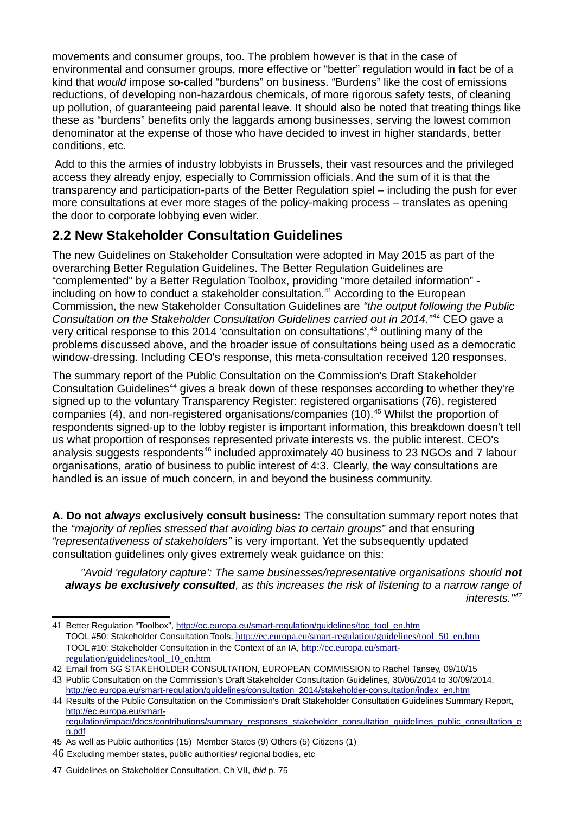movements and consumer groups, too. The problem however is that in the case of environmental and consumer groups, more effective or "better" regulation would in fact be of a kind that *would* impose so-called "burdens" on business. "Burdens" like the cost of emissions reductions, of developing non-hazardous chemicals, of more rigorous safety tests, of cleaning up pollution, of guaranteeing paid parental leave. It should also be noted that treating things like these as "burdens" benefits only the laggards among businesses, serving the lowest common denominator at the expense of those who have decided to invest in higher standards, better conditions, etc.

 Add to this the armies of industry lobbyists in Brussels, their vast resources and the privileged access they already enjoy, especially to Commission officials. And the sum of it is that the transparency and participation-parts of the Better Regulation spiel – including the push for ever more consultations at ever more stages of the policy-making process – translates as opening the door to corporate lobbying even wider.

#### **2.2 New Stakeholder Consultation Guidelines**

The new Guidelines on Stakeholder Consultation were adopted in May 2015 as part of the overarching Better Regulation Guidelines. The Better Regulation Guidelines are "complemented" by a Better Regulation Toolbox, providing "more detailed information" including on how to conduct a stakeholder consultation.[41](#page-8-0) According to the European Commission, the new Stakeholder Consultation Guidelines are *"the output following the Public Consultation on the Stakeholder Consultation Guidelines carried out in 2014."*[42](#page-8-1) CEO gave a very critical response to this 2014 'consultation on consultations',<sup>[43](#page-8-2)</sup> outlining many of the problems discussed above, and the broader issue of consultations being used as a democratic window-dressing. Including CEO's response, this meta-consultation received 120 responses.

The summary report of the Public Consultation on the Commission's Draft Stakeholder Consultation Guidelines<sup>[44](#page-8-3)</sup> gives a break down of these responses according to whether they're signed up to the voluntary Transparency Register: registered organisations (76), registered companies (4), and non-registered organisations/companies (10).<sup>[45](#page-8-4)</sup> Whilst the proportion of respondents signed-up to the lobby register is important information, this breakdown doesn't tell us what proportion of responses represented private interests vs. the public interest. CEO's analysis suggests respondents<sup>[46](#page-8-5)</sup> included approximately 40 business to 23 NGOs and 7 labour organisations, aratio of business to public interest of 4:3. Clearly, the way consultations are handled is an issue of much concern, in and beyond the business community.

**A. Do not** *always* **exclusively consult business:** The consultation summary report notes that the *"majority of replies stressed that avoiding bias to certain groups"* and that ensuring *"representativeness of stakeholders"* is very important. Yet the subsequently updated consultation guidelines only gives extremely weak guidance on this:

*"Avoid 'regulatory capture': The same businesses/representative organisations should not always be exclusively consulted, as this increases the risk of listening to a narrow range of interests."[47](#page-8-6)*

<span id="page-8-0"></span><sup>41</sup> Better Regulation "Toolbox", [http://ec.europa.eu/smart-regulation/guidelines/toc\\_tool\\_en.htm](http://ec.europa.eu/smart-regulation/guidelines/toc_tool_en.htm) TOOL #50: Stakeholder Consultation Tools, [http://ec.europa.eu/smart-regulation/guidelines/tool\\_50\\_en.htm](http://ec.europa.eu/smart-regulation/guidelines/tool_50_en.htm) TOOL #10: Stakeholder Consultation in the Context of an IA, [http://ec.europa.eu/smart](http://ec.europa.eu/smart-regulation/guidelines/tool_10_en.htm)[regulation/guidelines/tool\\_10\\_en.htm](http://ec.europa.eu/smart-regulation/guidelines/tool_10_en.htm)

<span id="page-8-1"></span><sup>42</sup> Email from SG STAKEHOLDER CONSULTATION, EUROPEAN COMMISSION to Rachel Tansey, 09/10/15

<span id="page-8-2"></span><sup>43</sup> Public Consultation on the Commission's Draft Stakeholder Consultation Guidelines, 30/06/2014 to 30/09/2014, [http://ec.europa.eu/smart-regulation/guidelines/consultation\\_2014/stakeholder-consultation/index\\_en.htm](http://ec.europa.eu/smart-regulation/guidelines/consultation_2014/stakeholder-consultation/index_en.htm)

<span id="page-8-3"></span><sup>44</sup> Results of the Public Consultation on the Commission's Draft Stakeholder Consultation Guidelines Summary Report, [http://ec.europa.eu/smart](http://ec.europa.eu/smart-regulation/impact/docs/contributions/summary_responses_stakeholder_consultation_guidelines_public_consultation_en.pdf)[regulation/impact/docs/contributions/summary\\_responses\\_stakeholder\\_consultation\\_guidelines\\_public\\_consultation\\_e](http://ec.europa.eu/smart-regulation/impact/docs/contributions/summary_responses_stakeholder_consultation_guidelines_public_consultation_en.pdf)

<span id="page-8-4"></span>[n.pdf](http://ec.europa.eu/smart-regulation/impact/docs/contributions/summary_responses_stakeholder_consultation_guidelines_public_consultation_en.pdf) 45 As well as Public authorities (15) Member States (9) Others (5) Citizens (1)

<span id="page-8-5"></span><sup>46</sup> Excluding member states, public authorities/ regional bodies, etc

<span id="page-8-6"></span><sup>47</sup> Guidelines on Stakeholder Consultation, Ch VII, *ibid* p. 75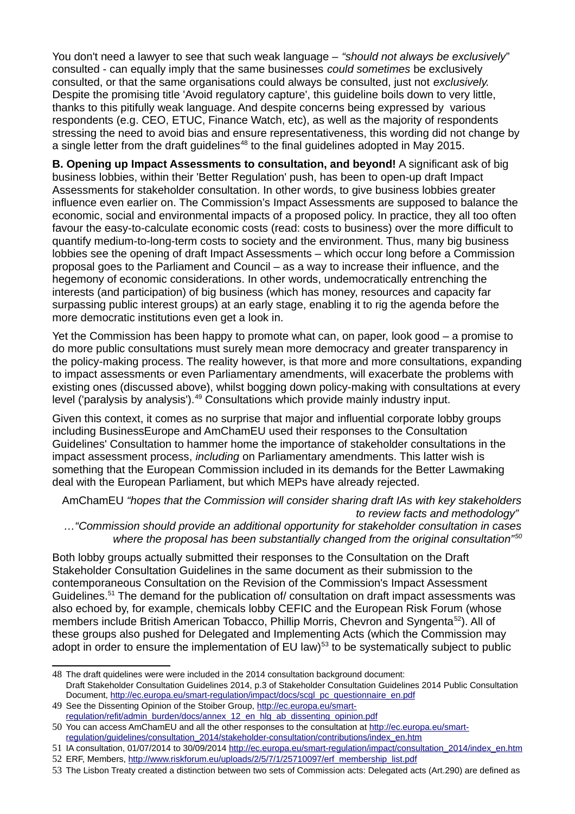You don't need a lawyer to see that such weak language – *"should not always be exclusively*" consulted - can equally imply that the same businesses *could sometimes* be exclusively consulted, or that the same organisations could always be consulted, just not *exclusively.*  Despite the promising title 'Avoid regulatory capture', this guideline boils down to very little, thanks to this pitifully weak language. And despite concerns being expressed by various respondents (e.g. CEO, ETUC, Finance Watch, etc), as well as the majority of respondents stressing the need to avoid bias and ensure representativeness, this wording did not change by a single letter from the draft quidelines<sup>[48](#page-9-0)</sup> to the final quidelines adopted in May 2015.

**B. Opening up Impact Assessments to consultation, and beyond!** A significant ask of big business lobbies, within their 'Better Regulation' push, has been to open-up draft Impact Assessments for stakeholder consultation. In other words, to give business lobbies greater influence even earlier on. The Commission's Impact Assessments are supposed to balance the economic, social and environmental impacts of a proposed policy. In practice, they all too often favour the easy-to-calculate economic costs (read: costs to business) over the more difficult to quantify medium-to-long-term costs to society and the environment. Thus, many big business lobbies see the opening of draft Impact Assessments – which occur long before a Commission proposal goes to the Parliament and Council – as a way to increase their influence, and the hegemony of economic considerations. In other words, undemocratically entrenching the interests (and participation) of big business (which has money, resources and capacity far surpassing public interest groups) at an early stage, enabling it to rig the agenda before the more democratic institutions even get a look in.

Yet the Commission has been happy to promote what can, on paper, look good – a promise to do more public consultations must surely mean more democracy and greater transparency in the policy-making process. The reality however, is that more and more consultations, expanding to impact assessments or even Parliamentary amendments, will exacerbate the problems with existing ones (discussed above), whilst bogging down policy-making with consultations at every level ('paralysis by analysis').<sup>[49](#page-9-1)</sup> Consultations which provide mainly industry input.

Given this context, it comes as no surprise that major and influential corporate lobby groups including BusinessEurope and AmChamEU used their responses to the Consultation Guidelines' Consultation to hammer home the importance of stakeholder consultations in the impact assessment process, *including* on Parliamentary amendments. This latter wish is something that the European Commission included in its demands for the Better Lawmaking deal with the European Parliament, but which MEPs have already rejected.

AmChamEU *"hopes that the Commission will consider sharing draft IAs with key stakeholders to review facts and methodology"* 

*…"Commission should provide an additional opportunity for stakeholder consultation in cases where the proposal has been substantially changed from the original consultation"[50](#page-9-2)*

Both lobby groups actually submitted their responses to the Consultation on the Draft Stakeholder Consultation Guidelines in the same document as their submission to the contemporaneous Consultation on the Revision of the Commission's Impact Assessment Guidelines.<sup>[51](#page-9-3)</sup> The demand for the publication of/ consultation on draft impact assessments was also echoed by, for example, chemicals lobby CEFIC and the European Risk Forum (whose members include British American Tobacco, Phillip Morris, Chevron and Syngenta<sup>[52](#page-9-4)</sup>). All of these groups also pushed for Delegated and Implementing Acts (which the Commission may adopt in order to ensure the implementation of  $EU$  law)<sup>[53](#page-9-5)</sup> to be systematically subject to public

<span id="page-9-0"></span><sup>48</sup> The draft quidelines were were included in the 2014 consultation background document: Draft Stakeholder Consultation Guidelines 2014, p.3 of Stakeholder Consultation Guidelines 2014 Public Consultation Document, [http://ec.europa.eu/smart-regulation/impact/docs/scgl\\_pc\\_questionnaire\\_en.pdf](http://ec.europa.eu/smart-regulation/impact/docs/scgl_pc_questionnaire_en.pdf) 

<span id="page-9-1"></span><sup>49</sup> See the Dissenting Opinion of the Stoiber Group, [http://ec.europa.eu/smart](http://ec.europa.eu/smart-regulation/refit/admin_burden/docs/annex_12_en_hlg_ab_dissenting_opinion.pdf)[regulation/refit/admin\\_burden/docs/annex\\_12\\_en\\_hlg\\_ab\\_dissenting\\_opinion.pdf](http://ec.europa.eu/smart-regulation/refit/admin_burden/docs/annex_12_en_hlg_ab_dissenting_opinion.pdf)

<span id="page-9-2"></span><sup>50</sup> You can access AmChamEU and all the other responses to the consultation at [http://ec.europa.eu/smart](http://ec.europa.eu/smart-regulation/guidelines/consultation_2014/stakeholder-consultation/contributions/index_en.htm)[regulation/guidelines/consultation\\_2014/stakeholder-consultation/contributions/index\\_en.htm](http://ec.europa.eu/smart-regulation/guidelines/consultation_2014/stakeholder-consultation/contributions/index_en.htm)

<span id="page-9-3"></span><sup>51</sup> IA consultation, 01/07/2014 to 30/09/2014 [http://ec.europa.eu/smart-regulation/impact/consultation\\_2014/index\\_en.htm](http://ec.europa.eu/smart-regulation/impact/consultation_2014/index_en.htm) 52 ERF, Members, [http://www.riskforum.eu/uploads/2/5/7/1/25710097/erf\\_membership\\_list.pdf](http://www.riskforum.eu/uploads/2/5/7/1/25710097/erf_membership_list.pdf)

<span id="page-9-5"></span><span id="page-9-4"></span>

<sup>53</sup> The Lisbon Treaty created a distinction between two sets of Commission acts: Delegated acts (Art.290) are defined as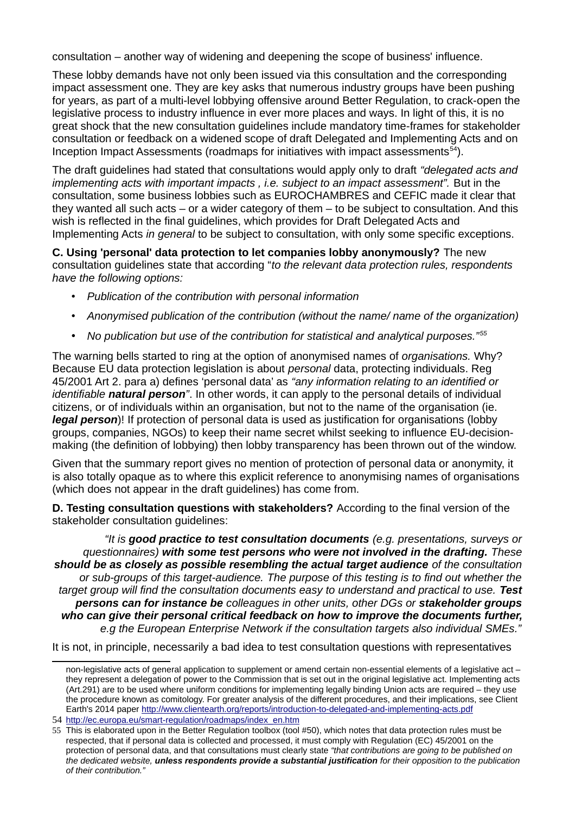consultation – another way of widening and deepening the scope of business' influence.

These lobby demands have not only been issued via this consultation and the corresponding impact assessment one. They are key asks that numerous industry groups have been pushing for years, as part of a multi-level lobbying offensive around Better Regulation, to crack-open the legislative process to industry influence in ever more places and ways. In light of this, it is no great shock that the new consultation guidelines include mandatory time-frames for stakeholder consultation or feedback on a widened scope of draft Delegated and Implementing Acts and on Inception Impact Assessments (roadmaps for initiatives with impact assessments $54$ ).

The draft guidelines had stated that consultations would apply only to draft *"delegated acts and implementing acts with important impacts , i.e. subject to an impact assessment".* But in the consultation, some business lobbies such as EUROCHAMBRES and CEFIC made it clear that they wanted all such acts – or a wider category of them – to be subject to consultation. And this wish is reflected in the final guidelines, which provides for Draft Delegated Acts and Implementing Acts *in general* to be subject to consultation, with only some specific exceptions.

**C. Using 'personal' data protection to let companies lobby anonymously?** The new consultation guidelines state that according "*to the relevant data protection rules, respondents have the following options:* 

- *Publication of the contribution with personal information*
- *Anonymised publication of the contribution (without the name/ name of the organization)*
- *No publication but use of the contribution for statistical and analytical purposes."[55](#page-10-1)*

The warning bells started to ring at the option of anonymised names of *organisations.* Why? Because EU data protection legislation is about *personal* data, protecting individuals. Reg 45/2001 Art 2. para a) defines 'personal data' as *"any information relating to an identified or identifiable natural person"*. In other words, it can apply to the personal details of individual citizens, or of individuals within an organisation, but not to the name of the organisation (ie. *legal person*)! If protection of personal data is used as justification for organisations (lobby groups, companies, NGOs) to keep their name secret whilst seeking to influence EU-decisionmaking (the definition of lobbying) then lobby transparency has been thrown out of the window.

Given that the summary report gives no mention of protection of personal data or anonymity, it is also totally opaque as to where this explicit reference to anonymising names of organisations (which does not appear in the draft guidelines) has come from.

**D. Testing consultation questions with stakeholders?** According to the final version of the stakeholder consultation guidelines:

*"It is good practice to test consultation documents (e.g. presentations, surveys or questionnaires) with some test persons who were not involved in the drafting. These should be as closely as possible resembling the actual target audience of the consultation or sub-groups of this target-audience. The purpose of this testing is to find out whether the target group will find the consultation documents easy to understand and practical to use. Test persons can for instance be colleagues in other units, other DGs or stakeholder groups who can give their personal critical feedback on how to improve the documents further, e.g the European Enterprise Network if the consultation targets also individual SMEs."*

It is not, in principle, necessarily a bad idea to test consultation questions with representatives

non-legislative acts of general application to supplement or amend certain non-essential elements of a legislative act – they represent a delegation of power to the Commission that is set out in the original legislative act. Implementing acts (Art.291) are to be used where uniform conditions for implementing legally binding Union acts are required – they use the procedure known as comitology. For greater analysis of the different procedures, and their implications, see Client Earth's 2014 paper<http://www.clientearth.org/reports/introduction-to-delegated-and-implementing-acts.pdf>

<span id="page-10-0"></span><sup>54</sup> [http://ec.europa.eu/smart-regulation/roadmaps/index\\_en.htm](http://ec.europa.eu/smart-regulation/roadmaps/index_en.htm)

<span id="page-10-1"></span><sup>55</sup> This is elaborated upon in the Better Regulation toolbox (tool #50), which notes that data protection rules must be respected, that if personal data is collected and processed, it must comply with Regulation (EC) 45/2001 on the protection of personal data, and that consultations must clearly state *"that contributions are going to be published on the dedicated website, unless respondents provide a substantial justification for their opposition to the publication of their contribution."*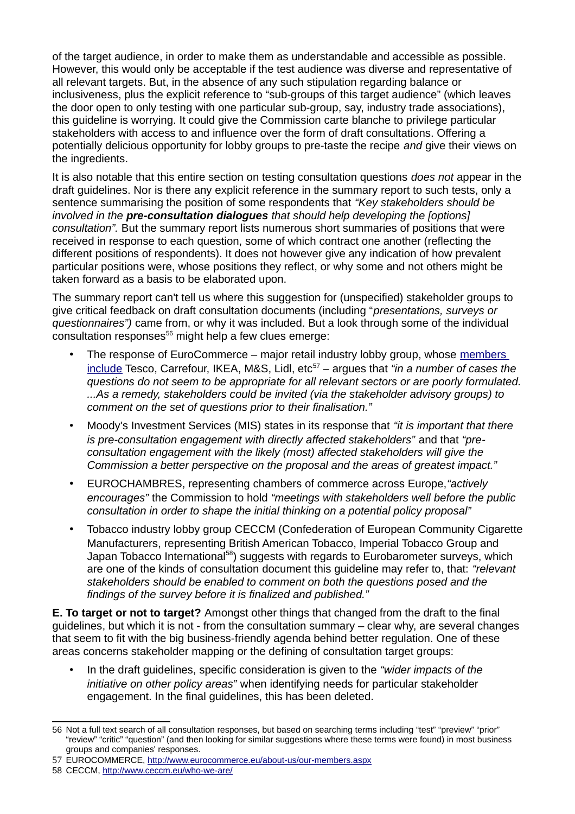of the target audience, in order to make them as understandable and accessible as possible. However, this would only be acceptable if the test audience was diverse and representative of all relevant targets. But, in the absence of any such stipulation regarding balance or inclusiveness, plus the explicit reference to "sub-groups of this target audience" (which leaves the door open to only testing with one particular sub-group, say, industry trade associations), this guideline is worrying. It could give the Commission carte blanche to privilege particular stakeholders with access to and influence over the form of draft consultations. Offering a potentially delicious opportunity for lobby groups to pre-taste the recipe *and* give their views on the ingredients.

It is also notable that this entire section on testing consultation questions *does not* appear in the draft guidelines. Nor is there any explicit reference in the summary report to such tests, only a sentence summarising the position of some respondents that *"Key stakeholders should be involved in the pre-consultation dialogues that should help developing the [options] consultation".* But the summary report lists numerous short summaries of positions that were received in response to each question, some of which contract one another (reflecting the different positions of respondents). It does not however give any indication of how prevalent particular positions were, whose positions they reflect, or why some and not others might be taken forward as a basis to be elaborated upon.

The summary report can't tell us where this suggestion for (unspecified) stakeholder groups to give critical feedback on draft consultation documents (including "*presentations, surveys or questionnaires")* came from, or why it was included. But a look through some of the individual  $\frac{1}{2}$  consultation responses<sup>[56](#page-11-0)</sup> might help a few clues emerge:

- The response of EuroCommerce major retail industry lobby group, whose [members](http://www.eurocommerce.eu/about-us/our-members.aspx)  [include](http://www.eurocommerce.eu/about-us/our-members.aspx) Tesco, Carrefour, IKEA, M&S, Lidl, etc<sup>[57](#page-11-1)</sup> – argues that "in a number of cases the *questions do not seem to be appropriate for all relevant sectors or are poorly formulated. ...As a remedy, stakeholders could be invited (via the stakeholder advisory groups) to comment on the set of questions prior to their finalisation."*
- Moody's Investment Services (MIS) states in its response that *"it is important that there*  is pre-consultation engagement with directly affected stakeholders" and that "pre*consultation engagement with the likely (most) affected stakeholders will give the Commission a better perspective on the proposal and the areas of greatest impact."*
- EUROCHAMBRES, representing chambers of commerce across Europe,*"actively encourages"* the Commission to hold *"meetings with stakeholders well before the public consultation in order to shape the initial thinking on a potential policy proposal"*
- Tobacco industry lobby group CECCM (Confederation of European Community Cigarette Manufacturers, representing British American Tobacco, Imperial Tobacco Group and Japan Tobacco International<sup>[58](#page-11-2)</sup>) suggests with regards to Eurobarometer surveys, which are one of the kinds of consultation document this guideline may refer to, that: *"relevant stakeholders should be enabled to comment on both the questions posed and the findings of the survey before it is finalized and published."*

**E. To target or not to target?** Amongst other things that changed from the draft to the final guidelines, but which it is not - from the consultation summary – clear why, are several changes that seem to fit with the big business-friendly agenda behind better regulation. One of these areas concerns stakeholder mapping or the defining of consultation target groups:

• In the draft guidelines, specific consideration is given to the *"wider impacts of the initiative on other policy areas"* when identifying needs for particular stakeholder engagement. In the final guidelines, this has been deleted.

<span id="page-11-0"></span><sup>56</sup> Not a full text search of all consultation responses, but based on searching terms including "test" "preview" "prior" "review" "critic" "question" (and then looking for similar suggestions where these terms were found) in most business groups and companies' responses.

<span id="page-11-1"></span><sup>57</sup> EUROCOMMERCE,<http://www.eurocommerce.eu/about-us/our-members.aspx>

<span id="page-11-2"></span><sup>58</sup> CECCM,<http://www.ceccm.eu/who-we-are/>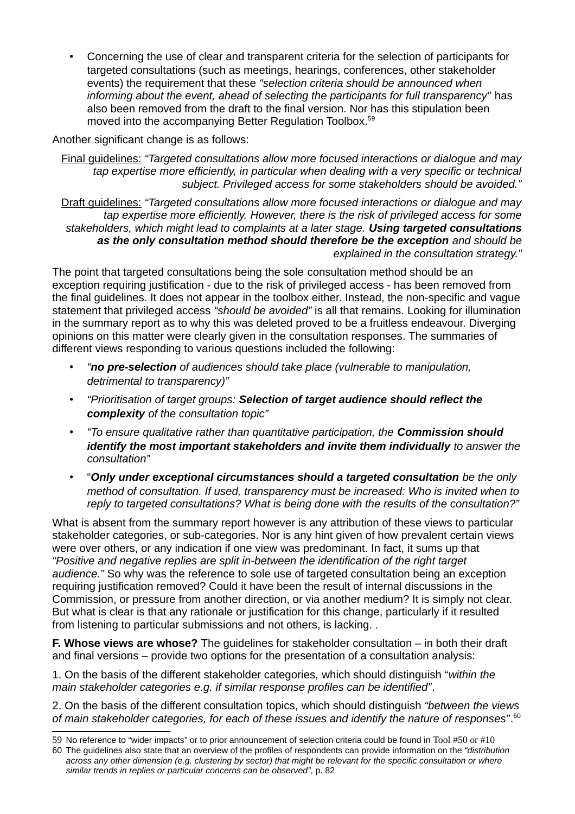• Concerning the use of clear and transparent criteria for the selection of participants for targeted consultations (such as meetings, hearings, conferences, other stakeholder events) the requirement that these *"selection criteria should be announced when informing about the event, ahead of selecting the participants for full transparency"* has also been removed from the draft to the final version. Nor has this stipulation been moved into the accompanying Better Regulation Toolbox. [59](#page-12-0)

Another significant change is as follows:

Final guidelines: *"Targeted consultations allow more focused interactions or dialogue and may tap expertise more efficiently, in particular when dealing with a very specific or technical subject. Privileged access for some stakeholders should be avoided."*

Draft guidelines: *"Targeted consultations allow more focused interactions or dialogue and may tap expertise more efficiently. However, there is the risk of privileged access for some stakeholders, which might lead to complaints at a later stage. Using targeted consultations as the only consultation method should therefore be the exception and should be explained in the consultation strategy."*

The point that targeted consultations being the sole consultation method should be an exception requiring justification - due to the risk of privileged access - has been removed from the final guidelines. It does not appear in the toolbox either. Instead, the non-specific and vague statement that privileged access *"should be avoided"* is all that remains. Looking for illumination in the summary report as to why this was deleted proved to be a fruitless endeavour. Diverging opinions on this matter were clearly given in the consultation responses. The summaries of different views responding to various questions included the following:

- *"no pre-selection of audiences should take place (vulnerable to manipulation, detrimental to transparency)"*
- *"Prioritisation of target groups: Selection of target audience should reflect the complexity of the consultation topic"*
- *"To ensure qualitative rather than quantitative participation, the Commission should identify the most important stakeholders and invite them individually to answer the consultation"*
- "*Only under exceptional circumstances should a targeted consultation be the only method of consultation. If used, transparency must be increased: Who is invited when to reply to targeted consultations? What is being done with the results of the consultation?"*

What is absent from the summary report however is any attribution of these views to particular stakeholder categories, or sub-categories. Nor is any hint given of how prevalent certain views were over others, or any indication if one view was predominant. In fact, it sums up that *"Positive and negative replies are split in-between the identification of the right target audience."* So why was the reference to sole use of targeted consultation being an exception requiring justification removed? Could it have been the result of internal discussions in the Commission, or pressure from another direction, or via another medium? It is simply not clear. But what is clear is that any rationale or justification for this change, particularly if it resulted from listening to particular submissions and not others, is lacking. .

**F. Whose views are whose?** The guidelines for stakeholder consultation – in both their draft and final versions – provide two options for the presentation of a consultation analysis:

1. On the basis of the different stakeholder categories, which should distinguish "*within the main stakeholder categories e.g. if similar response profiles can be identified"*.

2. On the basis of the different consultation topics, which should distinguish *"between the views of main stakeholder categories, for each of these issues and identify the nature of responses"*. [60](#page-12-1)

<span id="page-12-0"></span><sup>59</sup> No reference to "wider impacts" or to prior announcement of selection criteria could be found in Tool #50 or #10

<span id="page-12-1"></span><sup>60</sup> The guidelines also state that an overview of the profiles of respondents can provide information on the *"distribution across any other dimension (e.g. clustering by sector) that might be relevant for the specific consultation or where similar trends in replies or particular concerns can be observed"*, p. 82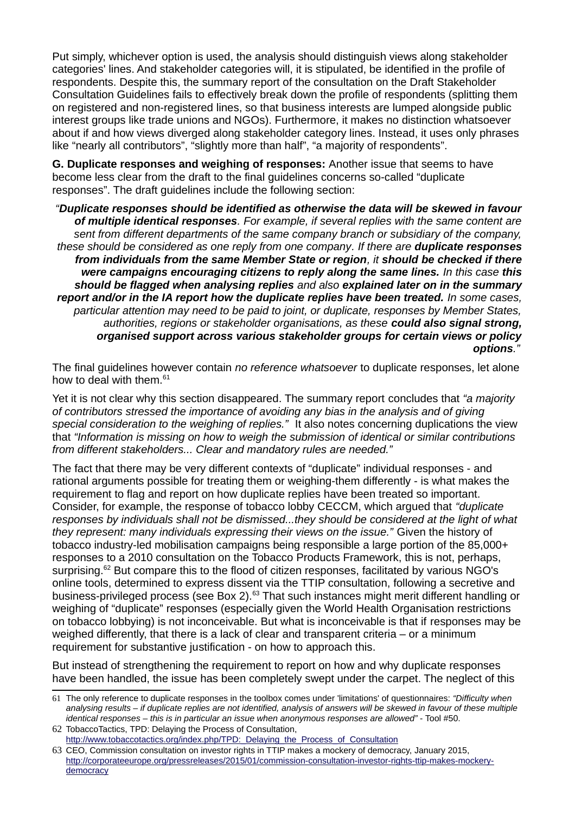Put simply, whichever option is used, the analysis should distinguish views along stakeholder categories' lines. And stakeholder categories will, it is stipulated, be identified in the profile of respondents. Despite this, the summary report of the consultation on the Draft Stakeholder Consultation Guidelines fails to effectively break down the profile of respondents (splitting them on registered and non-registered lines, so that business interests are lumped alongside public interest groups like trade unions and NGOs). Furthermore, it makes no distinction whatsoever about if and how views diverged along stakeholder category lines. Instead, it uses only phrases like "nearly all contributors", "slightly more than half", "a majority of respondents".

**G. Duplicate responses and weighing of responses:** Another issue that seems to have become less clear from the draft to the final guidelines concerns so-called "duplicate responses". The draft guidelines include the following section:

*"Duplicate responses should be identified as otherwise the data will be skewed in favour of multiple identical responses. For example, if several replies with the same content are sent from different departments of the same company branch or subsidiary of the company, these should be considered as one reply from one company. If there are duplicate responses from individuals from the same Member State or region, it should be checked if there were campaigns encouraging citizens to reply along the same lines. In this case this should be flagged when analysing replies and also explained later on in the summary report and/or in the IA report how the duplicate replies have been treated. In some cases, particular attention may need to be paid to joint, or duplicate, responses by Member States, authorities, regions or stakeholder organisations, as these could also signal strong, organised support across various stakeholder groups for certain views or policy options."*

The final guidelines however contain *no reference whatsoever* to duplicate responses, let alone how to deal with them. $61$ 

Yet it is not clear why this section disappeared. The summary report concludes that *"a majority of contributors stressed the importance of avoiding any bias in the analysis and of giving special consideration to the weighing of replies."* It also notes concerning duplications the view that *"Information is missing on how to weigh the submission of identical or similar contributions from different stakeholders... Clear and mandatory rules are needed."*

The fact that there may be very different contexts of "duplicate" individual responses - and rational arguments possible for treating them or weighing-them differently - is what makes the requirement to flag and report on how duplicate replies have been treated so important. Consider, for example, the response of tobacco lobby CECCM, which argued that *"duplicate responses by individuals shall not be dismissed...they should be considered at the light of what they represent: many individuals expressing their views on the issue."* Given the history of tobacco industry-led mobilisation campaigns being responsible a large portion of the 85,000+ responses to a 2010 consultation on the Tobacco Products Framework, this is not, perhaps, surprising.<sup>[62](#page-13-1)</sup> But compare this to the flood of citizen responses, facilitated by various NGO's online tools, determined to express dissent via the TTIP consultation, following a secretive and business-privileged process (see Box 2).<sup>[63](#page-13-2)</sup> That such instances might merit different handling or weighing of "duplicate" responses (especially given the World Health Organisation restrictions on tobacco lobbying) is not inconceivable. But what is inconceivable is that if responses may be weighed differently, that there is a lack of clear and transparent criteria – or a minimum requirement for substantive justification - on how to approach this.

But instead of strengthening the requirement to report on how and why duplicate responses have been handled, the issue has been completely swept under the carpet. The neglect of this

<span id="page-13-0"></span><sup>61</sup> The only reference to duplicate responses in the toolbox comes under 'limitations' of questionnaires: *"Difficulty when analysing results – if duplicate replies are not identified, analysis of answers will be skewed in favour of these multiple identical responses – this is in particular an issue when anonymous responses are allowed"* - Tool #50.

<span id="page-13-1"></span><sup>62</sup> TobaccoTactics, TPD: Delaying the Process of Consultation, http://www.tobaccotactics.org/index.php/TPD: Delaying\_the\_Process\_of\_Consultation

<span id="page-13-2"></span><sup>63</sup> CEO, Commission consultation on investor rights in TTIP makes a mockery of democracy, January 2015, [http://corporateeurope.org/pressreleases/2015/01/commission-consultation-investor-rights-ttip-makes-mockery](http://corporateeurope.org/pressreleases/2015/01/commission-consultation-investor-rights-ttip-makes-mockery-democracy)[democracy](http://corporateeurope.org/pressreleases/2015/01/commission-consultation-investor-rights-ttip-makes-mockery-democracy)